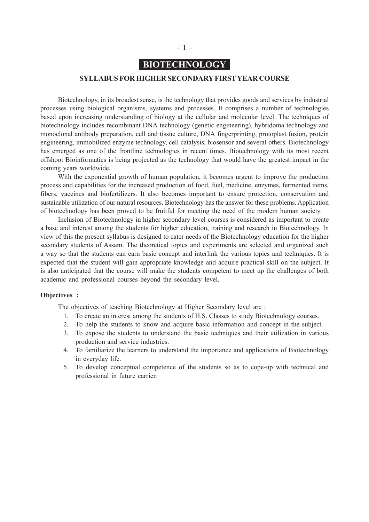# **BIOTECHNOLOGY**

### **SYLLABUS FOR HIGHER SECONDARY FIRST YEAR COURSE**

Biotechnology, in its broadest sense, is the technology that provides goods and services by industrial processes using biological organisms, systems and processes. It comprises a number of technologies based upon increasing understanding of biology at the cellular and molecular level. The techniques of biotechnology includes recombinant DNA technology (genetic engineering), hybridoma technology and monoclonal antibody preparation, cell and tissue culture, DNA fingerprinting, protoplast fusion, protein engineering, immobilized enzyme technology, cell catalysis, biosensor and several others. Biotechnology has emerged as one of the frontline technologies in recent times. Biotechnology with its most recent offshoot Bioinformatics is being projected as the technology that would have the greatest impact in the coming years worldwide.

With the exponential growth of human population, it becomes urgent to improve the production process and capabilities for the increased production of food, fuel, medicine, enzymes, fermented items, fibers, vaccines and biofertilizers. It also becomes important to ensure protection, conservation and sustainable utilization of our natural resources. Biotechnology has the answer for these problems. Application of biotechnology has been proved to be fruitful for meeting the need of the modem human society.

Inclusion of Biotechnology in higher secondary level courses is considered as important to create a base and interest among the students for higher education, training and research in Biotechnology. In view of this the present syllabus is designed to cater needs of the Biotechnology education for the higher secondary students of Assam. The theoretical topics and experiments are selected and organized such a way so that the students can earn basic concept and interlink the various topics and techniques. It is expected that the student will gain appropriate knowledge and acquire practical skill on the subject. It is also anticipated that the course will make the students competent to meet up the challenges of both academic and professional courses beyond the secondary level.

### **Objectives :**

The objectives of teaching Biotechnology at Higher Secondary level are :

- 1. To create an interest among the students of H.S. Classes to study Biotechnology courses.
- 2. To help the students to know and acquire basic information and concept in the subject.
- 3. To expose the students to understand the basic techniques and their utilization in various production and service industries.
- 4. To familiarize the learners to understand the importance and applications of Biotechnology in everyday life.
- 5. To develop conceptual competence of the students so as to cope-up with technical and professional in future carrier.

### -| 1 |-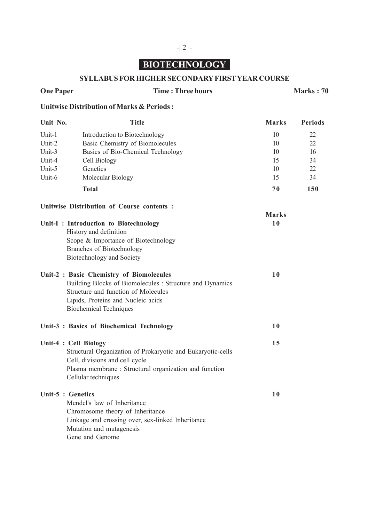# **BIOTECHNOLOGY**

## **SYLLABUS FOR HIGHER SECONDARY FIRST YEAR COURSE**

### **One Paper Time : Three hours Marks : 70**

# **Unitwise Distribution of Marks & Periods :**

| Unit No.              | <b>Title</b>                                                                                                                                                                                                       | <b>Marks</b> | <b>Periods</b> |
|-----------------------|--------------------------------------------------------------------------------------------------------------------------------------------------------------------------------------------------------------------|--------------|----------------|
| Unit-1                | Introduction to Biotechnology                                                                                                                                                                                      | 10           | 22             |
| Unit-2                | Basic Chemistry of Biomolecules                                                                                                                                                                                    | 10           | 22             |
| Unit-3                | Basics of Bio-Chemical Technology                                                                                                                                                                                  | 10           | 16             |
| Unit-4                | Cell Biology                                                                                                                                                                                                       | 15           | 34             |
| Unit-5                | Genetics                                                                                                                                                                                                           | 10           | 22             |
| Unit-6                | Molecular Biology                                                                                                                                                                                                  | 15           | 34             |
|                       | <b>Total</b>                                                                                                                                                                                                       | 70           | 150            |
|                       | Unitwise Distribution of Course contents:                                                                                                                                                                          |              |                |
|                       |                                                                                                                                                                                                                    | <b>Marks</b> |                |
|                       | Unit-I: Introduction to Biotechnology                                                                                                                                                                              | 10           |                |
|                       | History and definition                                                                                                                                                                                             |              |                |
|                       | Scope & Importance of Biotechnology                                                                                                                                                                                |              |                |
|                       | Branches of Biotechnology                                                                                                                                                                                          |              |                |
|                       | Biotechnology and Society                                                                                                                                                                                          |              |                |
|                       | Unit-2 : Basic Chemistry of Biomolecules<br>Building Blocks of Biomolecules : Structure and Dynamics<br>Structure and function of Molecules<br>Lipids, Proteins and Nucleic acids<br><b>Biochemical Techniques</b> | 10           |                |
|                       | Unit-3 : Basics of Biochemical Technology                                                                                                                                                                          | 10           |                |
| Unit-4 : Cell Biology | Structural Organization of Prokaryotic and Eukaryotic-cells<br>Cell, divisions and cell cycle<br>Plasma membrane: Structural organization and function<br>Cellular techniques                                      | 15           |                |
| Unit-5 : Genetics     | Mendel's law of Inheritance<br>Chromosome theory of Inheritance<br>Linkage and crossing over, sex-linked Inheritance<br>Mutation and mutagenesis<br>Gene and Genome                                                | 10           |                |